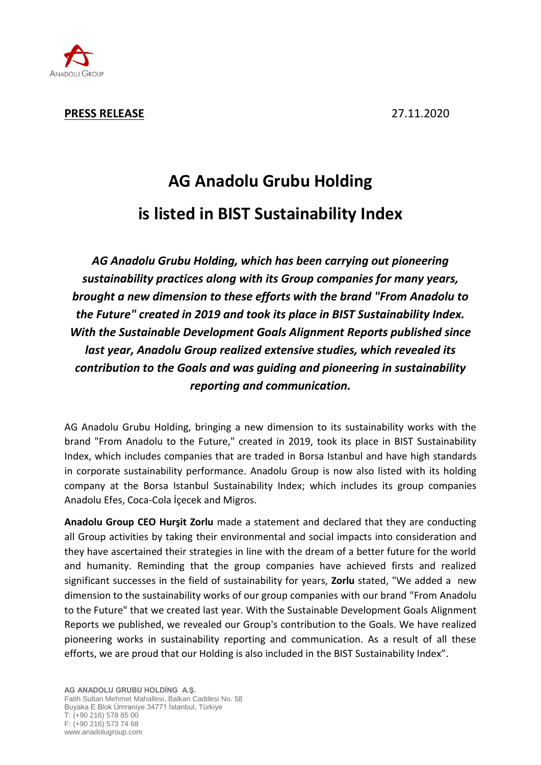

**PRESS RELEASE** 27.11.2020

# **AG Anadolu Grubu Holding is listed in BIST Sustainability Index**

*AG Anadolu Grubu Holding, which has been carrying out pioneering sustainability practices along with its Group companies for many years, brought a new dimension to these efforts with the brand "From Anadolu to the Future" created in 2019 and took its place in BIST Sustainability Index. With the Sustainable Development Goals Alignment Reports published since last year, Anadolu Group realized extensive studies, which revealed its contribution to the Goals and was guiding and pioneering in sustainability reporting and communication.* 

AG Anadolu Grubu Holding, bringing a new dimension to its sustainability works with the brand "From Anadolu to the Future," created in 2019, took its place in BIST Sustainability Index, which includes companies that are traded in Borsa Istanbul and have high standards in corporate sustainability performance. Anadolu Group is now also listed with its holding company at the Borsa Istanbul Sustainability Index; which includes its group companies Anadolu Efes, Coca-Cola İçecek and Migros.

**Anadolu Group CEO Hurşit Zorlu** made a statement and declared that they are conducting all Group activities by taking their environmental and social impacts into consideration and they have ascertained their strategies in line with the dream of a better future for the world and humanity. Reminding that the group companies have achieved firsts and realized significant successes in the field of sustainability for years, **Zorlu** stated, "We added a new dimension to the sustainability works of our group companies with our brand "From Anadolu to the Future" that we created last year. With the Sustainable Development Goals Alignment Reports we published, we revealed our Group's contribution to the Goals. We have realized pioneering works in sustainability reporting and communication. As a result of all these efforts, we are proud that our Holding is also included in the BIST Sustainability Index".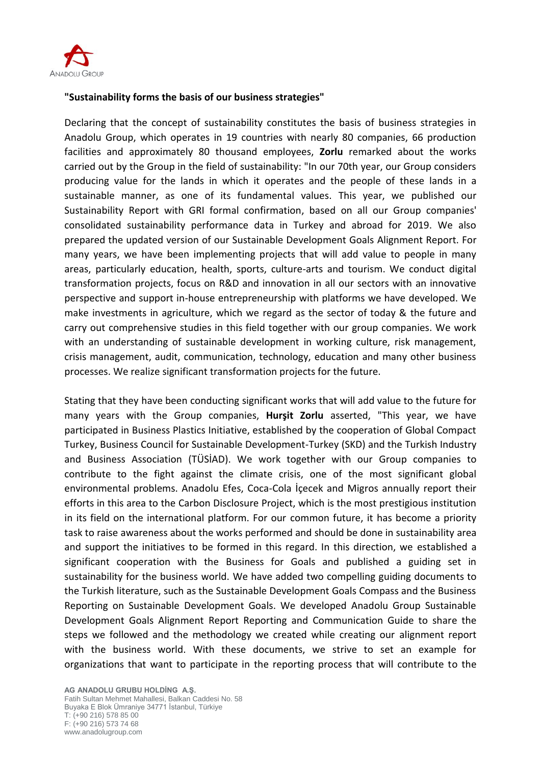

### **"Sustainability forms the basis of our business strategies"**

Declaring that the concept of sustainability constitutes the basis of business strategies in Anadolu Group, which operates in 19 countries with nearly 80 companies, 66 production facilities and approximately 80 thousand employees, **Zorlu** remarked about the works carried out by the Group in the field of sustainability: "In our 70th year, our Group considers producing value for the lands in which it operates and the people of these lands in a sustainable manner, as one of its fundamental values. This year, we published our Sustainability Report with GRI formal confirmation, based on all our Group companies' consolidated sustainability performance data in Turkey and abroad for 2019. We also prepared the updated version of our Sustainable Development Goals Alignment Report. For many years, we have been implementing projects that will add value to people in many areas, particularly education, health, sports, culture-arts and tourism. We conduct digital transformation projects, focus on R&D and innovation in all our sectors with an innovative perspective and support in-house entrepreneurship with platforms we have developed. We make investments in agriculture, which we regard as the sector of today & the future and carry out comprehensive studies in this field together with our group companies. We work with an understanding of sustainable development in working culture, risk management, crisis management, audit, communication, technology, education and many other business processes. We realize significant transformation projects for the future.

Stating that they have been conducting significant works that will add value to the future for many years with the Group companies, **Hurşit Zorlu** asserted, "This year, we have participated in Business Plastics Initiative, established by the cooperation of Global Compact Turkey, Business Council for Sustainable Development-Turkey (SKD) and the Turkish Industry and Business Association (TÜSİAD). We work together with our Group companies to contribute to the fight against the climate crisis, one of the most significant global environmental problems. Anadolu Efes, Coca-Cola İçecek and Migros annually report their efforts in this area to the Carbon Disclosure Project, which is the most prestigious institution in its field on the international platform. For our common future, it has become a priority task to raise awareness about the works performed and should be done in sustainability area and support the initiatives to be formed in this regard. In this direction, we established a significant cooperation with the Business for Goals and published a guiding set in sustainability for the business world. We have added two compelling guiding documents to the Turkish literature, such as the Sustainable Development Goals Compass and the Business Reporting on Sustainable Development Goals. We developed Anadolu Group Sustainable Development Goals Alignment Report Reporting and Communication Guide to share the steps we followed and the methodology we created while creating our alignment report with the business world. With these documents, we strive to set an example for organizations that want to participate in the reporting process that will contribute to the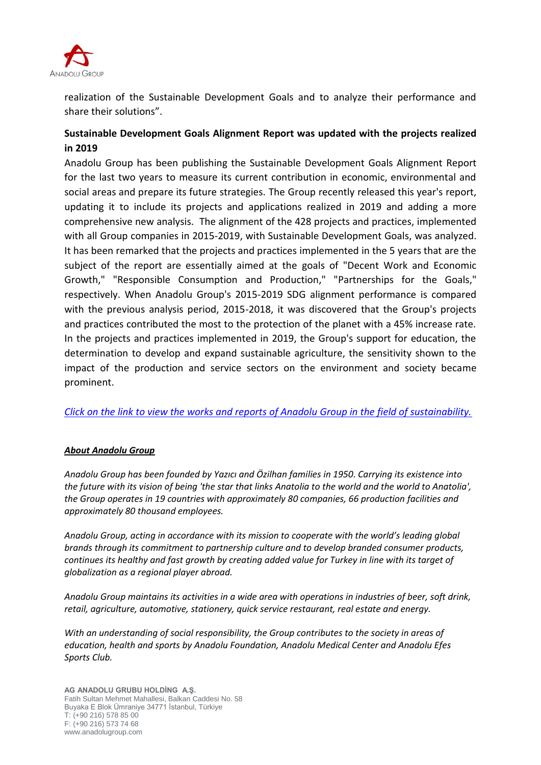

realization of the Sustainable Development Goals and to analyze their performance and share their solutions".

## **Sustainable Development Goals Alignment Report was updated with the projects realized in 2019**

Anadolu Group has been publishing the Sustainable Development Goals Alignment Report for the last two years to measure its current contribution in economic, environmental and social areas and prepare its future strategies. The Group recently released this year's report, updating it to include its projects and applications realized in 2019 and adding a more comprehensive new analysis. The alignment of the 428 projects and practices, implemented with all Group companies in 2015-2019, with Sustainable Development Goals, was analyzed. It has been remarked that the projects and practices implemented in the 5 years that are the subject of the report are essentially aimed at the goals of "Decent Work and Economic Growth," "Responsible Consumption and Production," "Partnerships for the Goals," respectively. When Anadolu Group's 2015-2019 SDG alignment performance is compared with the previous analysis period, 2015-2018, it was discovered that the Group's projects and practices contributed the most to the protection of the planet with a 45% increase rate. In the projects and practices implemented in 2019, the Group's support for education, the determination to develop and expand sustainable agriculture, the sensitivity shown to the impact of the production and service sectors on the environment and society became prominent.

*[Click on the link to view the works and reports of Anadolu Group in the field of sustainability.](https://www.anadolugrubu.com.tr/Page/1/381/from-anadolu-to-the-future)*

#### *About Anadolu Group*

*Anadolu Group has been founded by Yazıcı and Özilhan families in 1950. Carrying its existence into the future with its vision of being 'the star that links Anatolia to the world and the world to Anatolia', the Group operates in 19 countries with approximately 80 companies, 66 production facilities and approximately 80 thousand employees.* 

*Anadolu Group, acting in accordance with its mission to cooperate with the world's leading global brands through its commitment to partnership culture and to develop branded consumer products, continues its healthy and fast growth by creating added value for Turkey in line with its target of globalization as a regional player abroad.* 

*Anadolu Group maintains its activities in a wide area with operations in industries of beer, soft drink, retail, agriculture, automotive, stationery, quick service restaurant, real estate and energy.* 

*With an understanding of social responsibility, the Group contributes to the society in areas of education, health and sports by Anadolu Foundation, Anadolu Medical Center and Anadolu Efes Sports Club.*